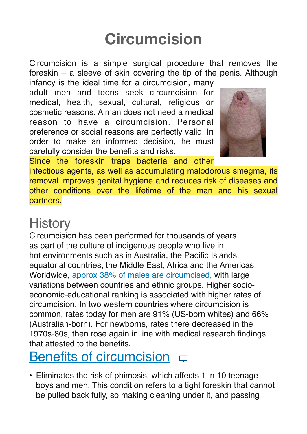# **Circumcision**

Circumcision is a simple surgical procedure that removes the foreskin – a sleeve of skin covering the tip of the penis. Although infancy is the ideal time for a circumcision, many

adult men and teens seek circumcision for medical, health, sexual, cultural, religious or cosmetic reasons. A man does not need a medical reason to have a circumcision. Personal preference or social reasons are perfectly valid. In order to make an informed decision, he must carefully consider the benefits and risks.



Since the foreskin traps bacteria and other infectious agents, as well as accumulating malodorous smegma, its removal improves genital hygiene and reduces risk of diseases and other conditions over the lifetime of the man and his sexual partners.

## **History**

Circumcision has been performed for thousands of years as part of the culture of indigenous people who live in hot environments such as in Australia, the Pacific Islands, equatorial countries, the Middle East, Africa and the Americas. Worldwide, approx 38% of males are circumcised, with large variations between countries and ethnic groups. Higher socio‐ economic‐educational ranking is associated with higher rates of circumcision. In two western countries where circumcision is common, rates today for men are 91% (US‐born whites) and 66% (Australian‐born). For newborns, rates there decreased in the 1970s‐80s, then rose again in line with medical research findings that attested to the benefits.

### [Benefits of circumcision](https://youtu.be/Ich3x5XphK4)  $\Box$

• Eliminates the risk of phimosis, which affects 1 in 10 teenage boys and men. This condition refers to a tight foreskin that cannot be pulled back fully, so making cleaning under it, and passing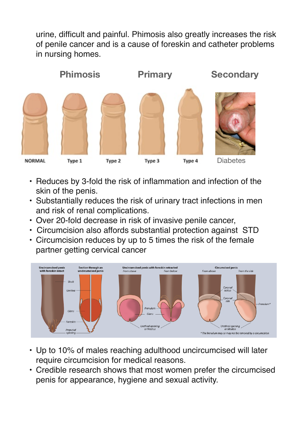urine, difficult and painful. Phimosis also greatly increases the risk of penile cancer and is a cause of foreskin and catheter problems in nursing homes.



- Reduces by 3‐fold the risk of inflammation and infection of the skin of the penis.
- Substantially reduces the risk of urinary tract infections in men and risk of renal complications.
- Over 20-fold decrease in risk of invasive penile cancer,
- Circumcision also affords substantial protection against STD
- Circumcision reduces by up to 5 times the risk of the female partner getting cervical cancer



- Up to 10% of males reaching adulthood uncircumcised will later require circumcision for medical reasons.
- Credible research shows that most women prefer the circumcised penis for appearance, hygiene and sexual activity.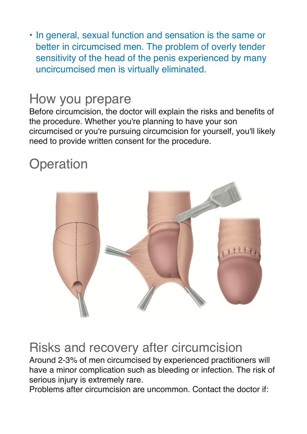• In general, sexual function and sensation is the same or better in circumcised men. The problem of overly tender sensitivity of the head of the penis experienced by many uncircumcised men is virtually eliminated.

### How you prepare

Before circumcision, the doctor will explain the risks and benefits of the procedure. Whether you're planning to have your son circumcised or you're pursuing circumcision for yourself, you'll likely need to provide written consent for the procedure.

## **Operation**



#### Risks and recovery after circumcision

Around 2‐3% of men circumcised by experienced practitioners will have a minor complication such as bleeding or infection. The risk of serious injury is extremely rare.

Problems after circumcision are uncommon. Contact the doctor if: